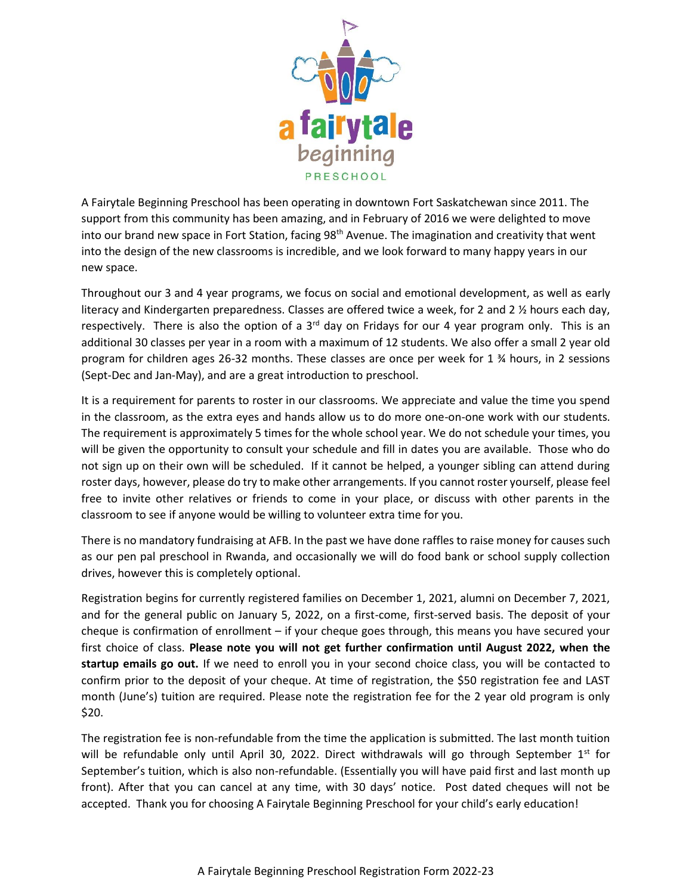

A Fairytale Beginning Preschool has been operating in downtown Fort Saskatchewan since 2011. The support from this community has been amazing, and in February of 2016 we were delighted to move into our brand new space in Fort Station, facing  $98<sup>th</sup>$  Avenue. The imagination and creativity that went into the design of the new classrooms is incredible, and we look forward to many happy years in our new space.

Throughout our 3 and 4 year programs, we focus on social and emotional development, as well as early literacy and Kindergarten preparedness. Classes are offered twice a week, for 2 and 2 % hours each day, respectively. There is also the option of a  $3<sup>rd</sup>$  day on Fridays for our 4 year program only. This is an additional 30 classes per year in a room with a maximum of 12 students. We also offer a small 2 year old program for children ages 26-32 months. These classes are once per week for 1 ¾ hours, in 2 sessions (Sept-Dec and Jan-May), and are a great introduction to preschool.

It is a requirement for parents to roster in our classrooms. We appreciate and value the time you spend in the classroom, as the extra eyes and hands allow us to do more one-on-one work with our students. The requirement is approximately 5 times for the whole school year. We do not schedule your times, you will be given the opportunity to consult your schedule and fill in dates you are available. Those who do not sign up on their own will be scheduled. If it cannot be helped, a younger sibling can attend during roster days, however, please do try to make other arrangements. If you cannot roster yourself, please feel free to invite other relatives or friends to come in your place, or discuss with other parents in the classroom to see if anyone would be willing to volunteer extra time for you.

There is no mandatory fundraising at AFB. In the past we have done raffles to raise money for causes such as our pen pal preschool in Rwanda, and occasionally we will do food bank or school supply collection drives, however this is completely optional.

Registration begins for currently registered families on December 1, 2021, alumni on December 7, 2021, and for the general public on January 5, 2022, on a first-come, first-served basis. The deposit of your cheque is confirmation of enrollment – if your cheque goes through, this means you have secured your first choice of class. **Please note you will not get further confirmation until August 2022, when the startup emails go out.** If we need to enroll you in your second choice class, you will be contacted to confirm prior to the deposit of your cheque. At time of registration, the \$50 registration fee and LAST month (June's) tuition are required. Please note the registration fee for the 2 year old program is only \$20.

The registration fee is non-refundable from the time the application is submitted. The last month tuition will be refundable only until April 30, 2022. Direct withdrawals will go through September  $1^{st}$  for September's tuition, which is also non-refundable. (Essentially you will have paid first and last month up front). After that you can cancel at any time, with 30 days' notice. Post dated cheques will not be accepted. Thank you for choosing A Fairytale Beginning Preschool for your child's early education!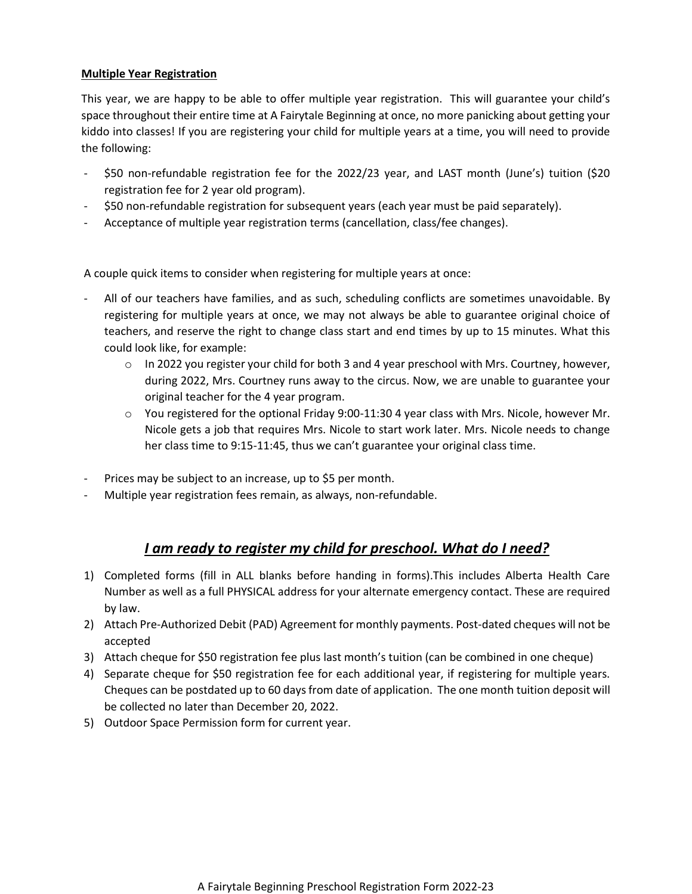# **Multiple Year Registration**

This year, we are happy to be able to offer multiple year registration. This will guarantee your child's space throughout their entire time at A Fairytale Beginning at once, no more panicking about getting your kiddo into classes! If you are registering your child for multiple years at a time, you will need to provide the following:

- \$50 non-refundable registration fee for the 2022/23 year, and LAST month (June's) tuition (\$20 registration fee for 2 year old program).
- \$50 non-refundable registration for subsequent years (each year must be paid separately).
- Acceptance of multiple year registration terms (cancellation, class/fee changes).

A couple quick items to consider when registering for multiple years at once:

- All of our teachers have families, and as such, scheduling conflicts are sometimes unavoidable. By registering for multiple years at once, we may not always be able to guarantee original choice of teachers, and reserve the right to change class start and end times by up to 15 minutes. What this could look like, for example:
	- $\circ$  In 2022 you register your child for both 3 and 4 year preschool with Mrs. Courtney, however, during 2022, Mrs. Courtney runs away to the circus. Now, we are unable to guarantee your original teacher for the 4 year program.
	- $\circ$  You registered for the optional Friday 9:00-11:30 4 year class with Mrs. Nicole, however Mr. Nicole gets a job that requires Mrs. Nicole to start work later. Mrs. Nicole needs to change her class time to 9:15-11:45, thus we can't guarantee your original class time.
- Prices may be subject to an increase, up to \$5 per month.
- Multiple year registration fees remain, as always, non-refundable.

# *I am ready to register my child for preschool. What do I need?*

- 1) Completed forms (fill in ALL blanks before handing in forms).This includes Alberta Health Care Number as well as a full PHYSICAL address for your alternate emergency contact. These are required by law.
- 2) Attach Pre-Authorized Debit (PAD) Agreement for monthly payments. Post-dated cheques will not be accepted
- 3) Attach cheque for \$50 registration fee plus last month's tuition (can be combined in one cheque)
- 4) Separate cheque for \$50 registration fee for each additional year, if registering for multiple years. Cheques can be postdated up to 60 days from date of application. The one month tuition deposit will be collected no later than December 20, 2022.
- 5) Outdoor Space Permission form for current year.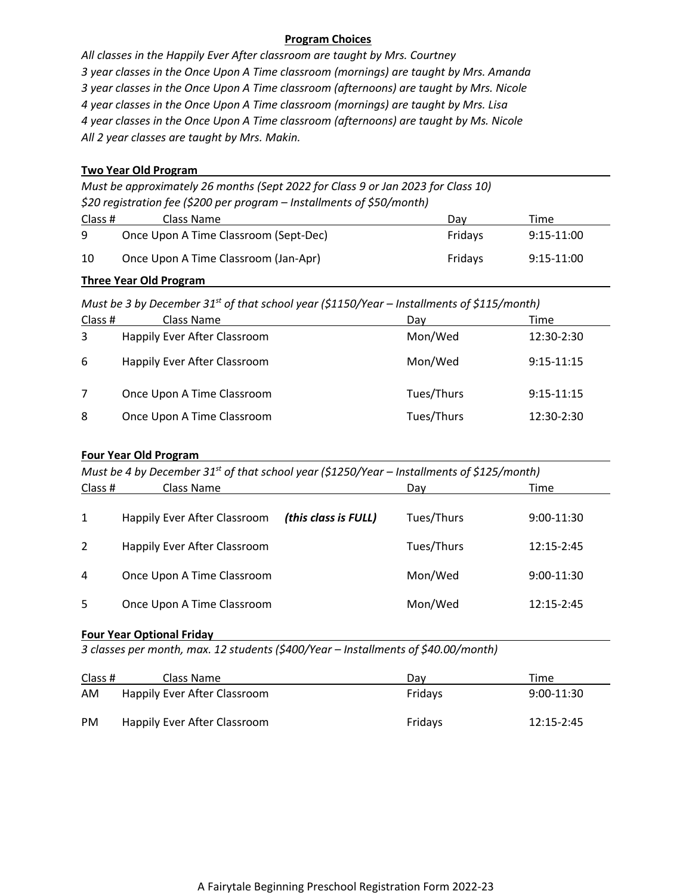# **Program Choices**

*All classes in the Happily Ever After classroom are taught by Mrs. Courtney 3 year classes in the Once Upon A Time classroom (mornings) are taught by Mrs. Amanda 3 year classes in the Once Upon A Time classroom (afternoons) are taught by Mrs. Nicole 4 year classes in the Once Upon A Time classroom (mornings) are taught by Mrs. Lisa 4 year classes in the Once Upon A Time classroom (afternoons) are taught by Ms. Nicole All 2 year classes are taught by Mrs. Makin.*

### **Two Year Old Program**

*Must be approximately 26 months (Sept 2022 for Class 9 or Jan 2023 for Class 10) \$20 registration fee (\$200 per program – Installments of \$50/month)*

| Class # | Class Name                            | Dav     | Time         |
|---------|---------------------------------------|---------|--------------|
| q       | Once Upon A Time Classroom (Sept-Dec) | Fridavs | 9:15-11:00   |
| 10      | Once Upon A Time Classroom (Jan-Apr)  | Fridavs | $9:15-11:00$ |

### **Three Year Old Program**

*Must be 3 by December 31st of that school year (\$1150/Year – Installments of \$115/month)*

| Class # | Class Name                   | Day        | Time         |
|---------|------------------------------|------------|--------------|
| 3       | Happily Ever After Classroom | Mon/Wed    | 12:30-2:30   |
| 6       | Happily Ever After Classroom | Mon/Wed    | $9:15-11:15$ |
|         | Once Upon A Time Classroom   | Tues/Thurs | $9:15-11:15$ |
| 8       | Once Upon A Time Classroom   | Tues/Thurs | $12:30-2:30$ |

# **Four Year Old Program**

| Must be 4 by December 31 <sup>st</sup> of that school year (\$1250/Year – Installments of \$125/month) |                                     |                      |            |              |  |
|--------------------------------------------------------------------------------------------------------|-------------------------------------|----------------------|------------|--------------|--|
| Class #                                                                                                | Class Name                          |                      | Dav        | Time         |  |
| 1                                                                                                      | <b>Happily Ever After Classroom</b> | (this class is FULL) | Tues/Thurs | $9:00-11:30$ |  |
| 2                                                                                                      | <b>Happily Ever After Classroom</b> |                      | Tues/Thurs | 12:15-2:45   |  |
| 4                                                                                                      | Once Upon A Time Classroom          |                      | Mon/Wed    | $9:00-11:30$ |  |
| 5                                                                                                      | Once Upon A Time Classroom          |                      | Mon/Wed    | 12:15-2:45   |  |

# **Four Year Optional Friday**

*3 classes per month, max. 12 students (\$400/Year – Installments of \$40.00/month)*

| Class #   | Class Name                   | Dav     | Time         |
|-----------|------------------------------|---------|--------------|
| AM        | Happily Ever After Classroom | Fridavs | $9:00-11:30$ |
| <b>PM</b> | Happily Ever After Classroom | Fridays | 12:15-2:45   |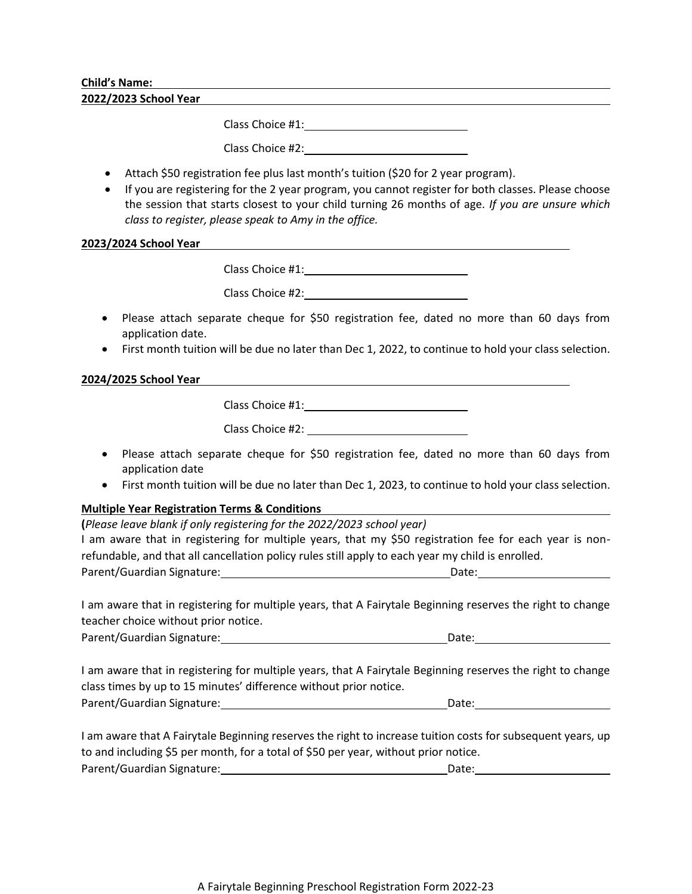### **Child's Name:**

**2022/2023 School Year**

Class Choice #1:

Class Choice #2:

- Attach \$50 registration fee plus last month's tuition (\$20 for 2 year program).
- If you are registering for the 2 year program, you cannot register for both classes. Please choose the session that starts closest to your child turning 26 months of age*. If you are unsure which class to register, please speak to Amy in the office.*

### **2023/2024 School Year**

Class Choice #1:

Class Choice #2:\_\_\_\_\_

- Please attach separate cheque for \$50 registration fee, dated no more than 60 days from application date.
- First month tuition will be due no later than Dec 1, 2022, to continue to hold your class selection.

# **2024/2025 School Year**

Class Choice #1: Class Choice #2:

- Please attach separate cheque for \$50 registration fee, dated no more than 60 days from application date
- First month tuition will be due no later than Dec 1, 2023, to continue to hold your class selection.

# **Multiple Year Registration Terms & Conditions**

| (Please leave blank if only registering for the 2022/2023 school year)                            |                                                                                                        |
|---------------------------------------------------------------------------------------------------|--------------------------------------------------------------------------------------------------------|
|                                                                                                   | I am aware that in registering for multiple years, that my \$50 registration fee for each year is non- |
| refundable, and that all cancellation policy rules still apply to each year my child is enrolled. |                                                                                                        |
| Parent/Guardian Signature:                                                                        | Date:                                                                                                  |
|                                                                                                   |                                                                                                        |

I am aware that in registering for multiple years, that A Fairytale Beginning reserves the right to change teacher choice without prior notice.

Parent/Guardian Signature: Date: Date:

I am aware that in registering for multiple years, that A Fairytale Beginning reserves the right to change class times by up to 15 minutes' difference without prior notice. Parent/Guardian Signature: Date:

I am aware that A Fairytale Beginning reserves the right to increase tuition costs for subsequent years, up to and including \$5 per month, for a total of \$50 per year, without prior notice. Parent/Guardian Signature: Date: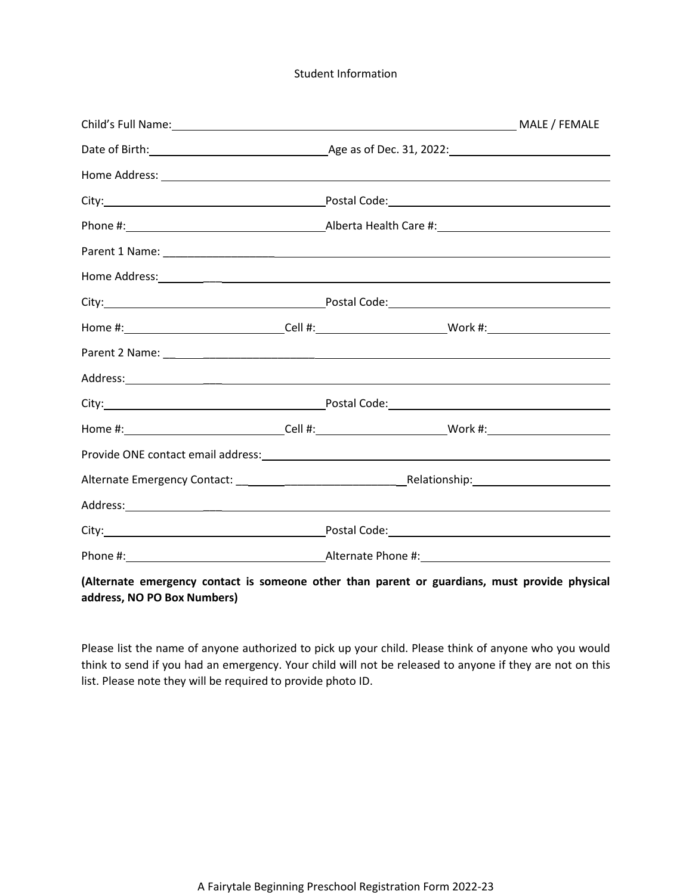### Student Information

| Child's Full Name: MALE / FEMALE                                                                                                                                                                                               |  |  |  |  |  |
|--------------------------------------------------------------------------------------------------------------------------------------------------------------------------------------------------------------------------------|--|--|--|--|--|
|                                                                                                                                                                                                                                |  |  |  |  |  |
|                                                                                                                                                                                                                                |  |  |  |  |  |
|                                                                                                                                                                                                                                |  |  |  |  |  |
|                                                                                                                                                                                                                                |  |  |  |  |  |
|                                                                                                                                                                                                                                |  |  |  |  |  |
|                                                                                                                                                                                                                                |  |  |  |  |  |
|                                                                                                                                                                                                                                |  |  |  |  |  |
| Home #: ________________________________Cell #: ________________________________Work #: ______________________                                                                                                                 |  |  |  |  |  |
|                                                                                                                                                                                                                                |  |  |  |  |  |
| Address: Andreas Address: Address: Address: Address: Address: Address: Address: Address: Address: Address: Address: Address: Address: Address: Address: Address: Address: Address: Address: Address: Address: Address: Address |  |  |  |  |  |
|                                                                                                                                                                                                                                |  |  |  |  |  |
|                                                                                                                                                                                                                                |  |  |  |  |  |
|                                                                                                                                                                                                                                |  |  |  |  |  |
|                                                                                                                                                                                                                                |  |  |  |  |  |
| Address: Address: Address: Address: Address: Address: Address: Address: Address: Address: Address: Address: Address: Address: Address: Address: Address: Address: Address: Address: Address: Address: Address: Address: Addres |  |  |  |  |  |
|                                                                                                                                                                                                                                |  |  |  |  |  |
|                                                                                                                                                                                                                                |  |  |  |  |  |

# **(Alternate emergency contact is someone other than parent or guardians, must provide physical address, NO PO Box Numbers)**

Please list the name of anyone authorized to pick up your child. Please think of anyone who you would think to send if you had an emergency. Your child will not be released to anyone if they are not on this list. Please note they will be required to provide photo ID.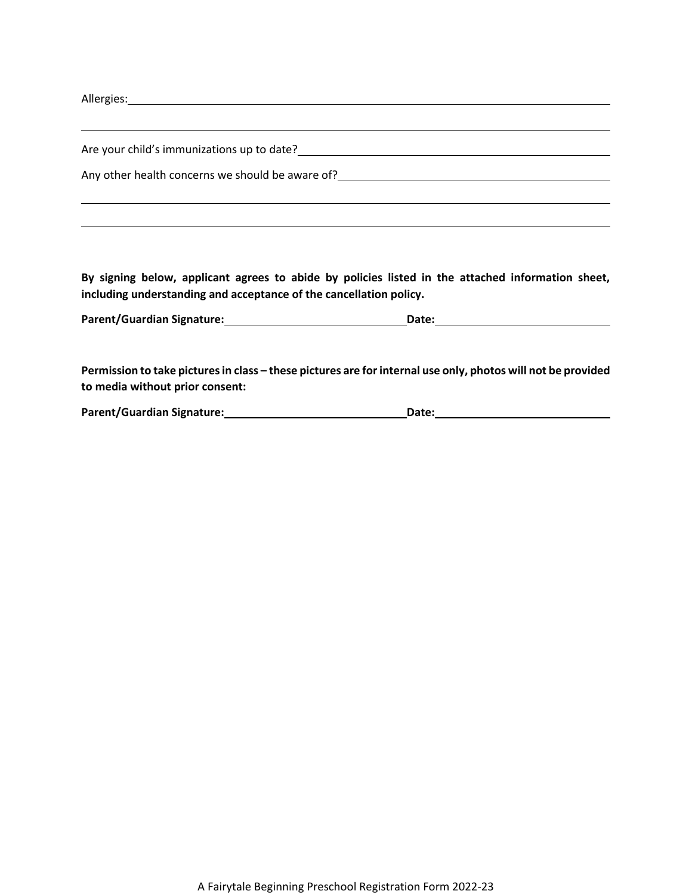Allergies: <u>Allergies:</u> Allergies: Allergies: Allergies: Allergies: Allergies: Allergies: Allergies: Allergies: Allergies: Allergies: Allergies: Allergies: Allergies: Allergies: Allergies: Allergies: Allergies: Allergies:

| Are your child's immunizations up to date?       |  |
|--------------------------------------------------|--|
| Any other health concerns we should be aware of? |  |
|                                                  |  |

**By signing below, applicant agrees to abide by policies listed in the attached information sheet, including understanding and acceptance of the cancellation policy.**

| Parent/Guardian Signature: | Date: |  |
|----------------------------|-------|--|
|                            |       |  |

Permission to take pictures in class – these pictures are for internal use only, photos will not be provided **to media without prior consent:**

| <b>Parent/Guardian Signature:</b> | Date: |  |
|-----------------------------------|-------|--|
|                                   |       |  |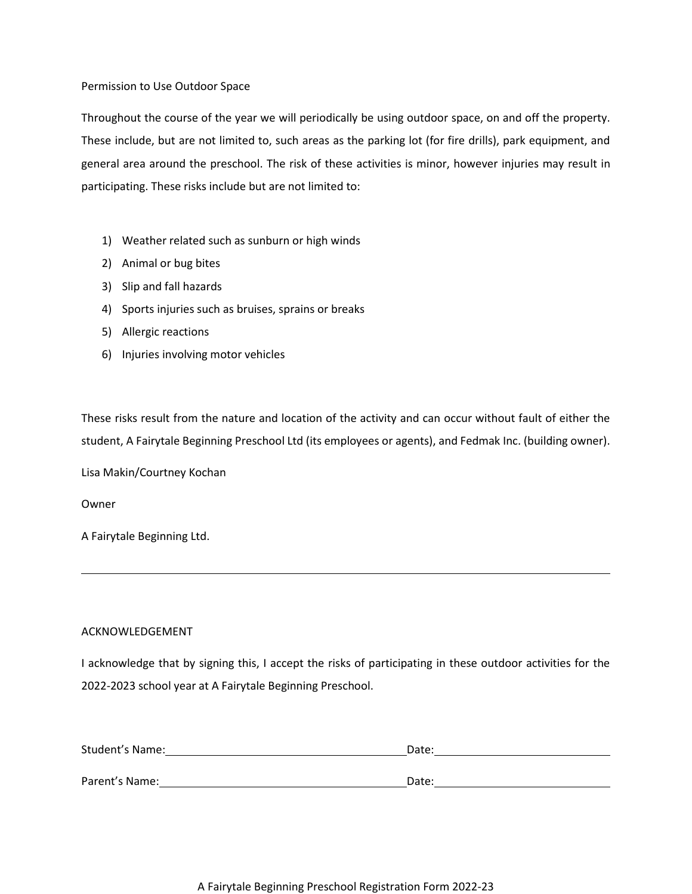### Permission to Use Outdoor Space

Throughout the course of the year we will periodically be using outdoor space, on and off the property. These include, but are not limited to, such areas as the parking lot (for fire drills), park equipment, and general area around the preschool. The risk of these activities is minor, however injuries may result in participating. These risks include but are not limited to:

- 1) Weather related such as sunburn or high winds
- 2) Animal or bug bites
- 3) Slip and fall hazards
- 4) Sports injuries such as bruises, sprains or breaks
- 5) Allergic reactions
- 6) Injuries involving motor vehicles

These risks result from the nature and location of the activity and can occur without fault of either the student, A Fairytale Beginning Preschool Ltd (its employees or agents), and Fedmak Inc. (building owner).

Lisa Makin/Courtney Kochan

Owner

A Fairytale Beginning Ltd.

#### ACKNOWLEDGEMENT

I acknowledge that by signing this, I accept the risks of participating in these outdoor activities for the 2022-2023 school year at A Fairytale Beginning Preschool.

| Student's Name: | Date: |
|-----------------|-------|
|                 |       |
| Parent's Name:  | Date: |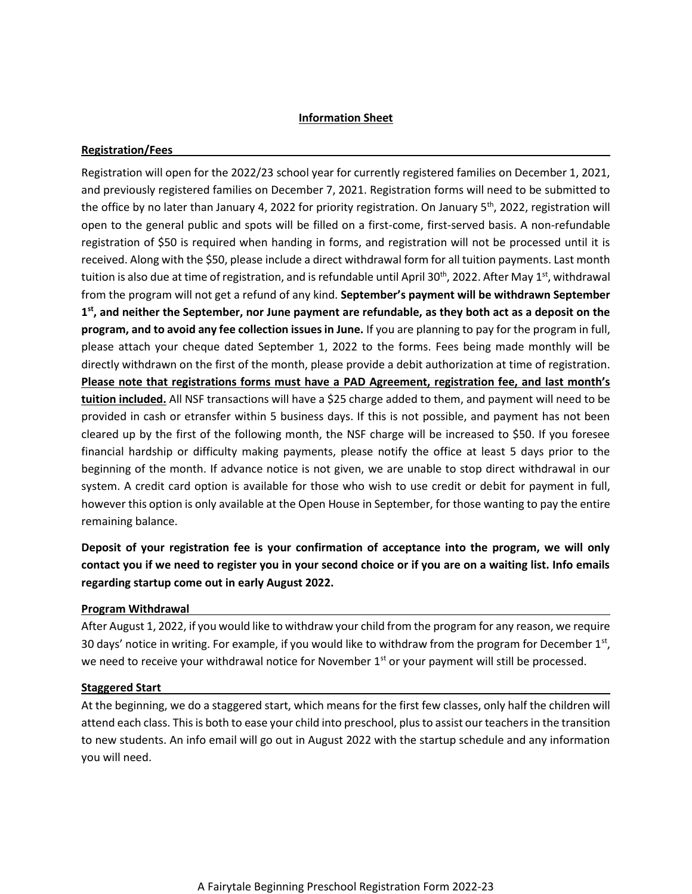# **Information Sheet**

### **Registration/Fees**

Registration will open for the 2022/23 school year for currently registered families on December 1, 2021, and previously registered families on December 7, 2021. Registration forms will need to be submitted to the office by no later than January 4, 2022 for priority registration. On January  $5<sup>th</sup>$ , 2022, registration will open to the general public and spots will be filled on a first-come, first-served basis. A non-refundable registration of \$50 is required when handing in forms, and registration will not be processed until it is received. Along with the \$50, please include a direct withdrawal form for all tuition payments. Last month tuition is also due at time of registration, and is refundable until April 30<sup>th</sup>, 2022. After May 1<sup>st</sup>, withdrawal from the program will not get a refund of any kind. **September's payment will be withdrawn September 1 st, and neither the September, nor June payment are refundable, as they both act as a deposit on the program, and to avoid any fee collection issues in June.** If you are planning to pay for the program in full, please attach your cheque dated September 1, 2022 to the forms. Fees being made monthly will be directly withdrawn on the first of the month, please provide a debit authorization at time of registration. **Please note that registrations forms must have a PAD Agreement, registration fee, and last month's tuition included.** All NSF transactions will have a \$25 charge added to them, and payment will need to be provided in cash or etransfer within 5 business days. If this is not possible, and payment has not been cleared up by the first of the following month, the NSF charge will be increased to \$50. If you foresee financial hardship or difficulty making payments, please notify the office at least 5 days prior to the beginning of the month. If advance notice is not given, we are unable to stop direct withdrawal in our system. A credit card option is available for those who wish to use credit or debit for payment in full, however this option is only available at the Open House in September, for those wanting to pay the entire remaining balance.

**Deposit of your registration fee is your confirmation of acceptance into the program, we will only contact you if we need to register you in your second choice or if you are on a waiting list. Info emails regarding startup come out in early August 2022.**

# **Program Withdrawal**

After August 1, 2022, if you would like to withdraw your child from the program for any reason, we require 30 days' notice in writing. For example, if you would like to withdraw from the program for December 1st, we need to receive your withdrawal notice for November  $1<sup>st</sup>$  or your payment will still be processed.

#### **Staggered Start**

At the beginning, we do a staggered start, which means for the first few classes, only half the children will attend each class. This is both to ease your child into preschool, plus to assist our teachers in the transition to new students. An info email will go out in August 2022 with the startup schedule and any information you will need.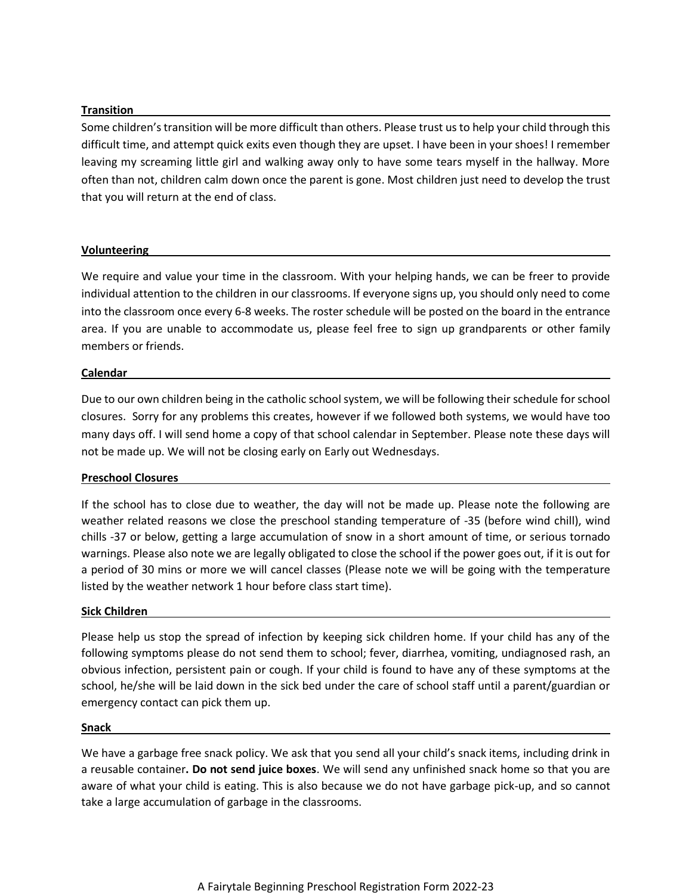### **Transition**

Some children's transition will be more difficult than others. Please trust us to help your child through this difficult time, and attempt quick exits even though they are upset. I have been in your shoes! I remember leaving my screaming little girl and walking away only to have some tears myself in the hallway. More often than not, children calm down once the parent is gone. Most children just need to develop the trust that you will return at the end of class.

#### **Volunteering**

We require and value your time in the classroom. With your helping hands, we can be freer to provide individual attention to the children in our classrooms. If everyone signs up, you should only need to come into the classroom once every 6-8 weeks. The roster schedule will be posted on the board in the entrance area. If you are unable to accommodate us, please feel free to sign up grandparents or other family members or friends.

### **Calendar**

Due to our own children being in the catholic school system, we will be following their schedule for school closures. Sorry for any problems this creates, however if we followed both systems, we would have too many days off. I will send home a copy of that school calendar in September. Please note these days will not be made up. We will not be closing early on Early out Wednesdays.

# **Preschool Closures**

If the school has to close due to weather, the day will not be made up. Please note the following are weather related reasons we close the preschool standing temperature of -35 (before wind chill), wind chills -37 or below, getting a large accumulation of snow in a short amount of time, or serious tornado warnings. Please also note we are legally obligated to close the school if the power goes out, if it is out for a period of 30 mins or more we will cancel classes (Please note we will be going with the temperature listed by the weather network 1 hour before class start time).

#### **Sick Children**

Please help us stop the spread of infection by keeping sick children home. If your child has any of the following symptoms please do not send them to school; fever, diarrhea, vomiting, undiagnosed rash, an obvious infection, persistent pain or cough. If your child is found to have any of these symptoms at the school, he/she will be laid down in the sick bed under the care of school staff until a parent/guardian or emergency contact can pick them up.

#### **Snack**

We have a garbage free snack policy. We ask that you send all your child's snack items, including drink in a reusable container**. Do not send juice boxes**. We will send any unfinished snack home so that you are aware of what your child is eating. This is also because we do not have garbage pick-up, and so cannot take a large accumulation of garbage in the classrooms.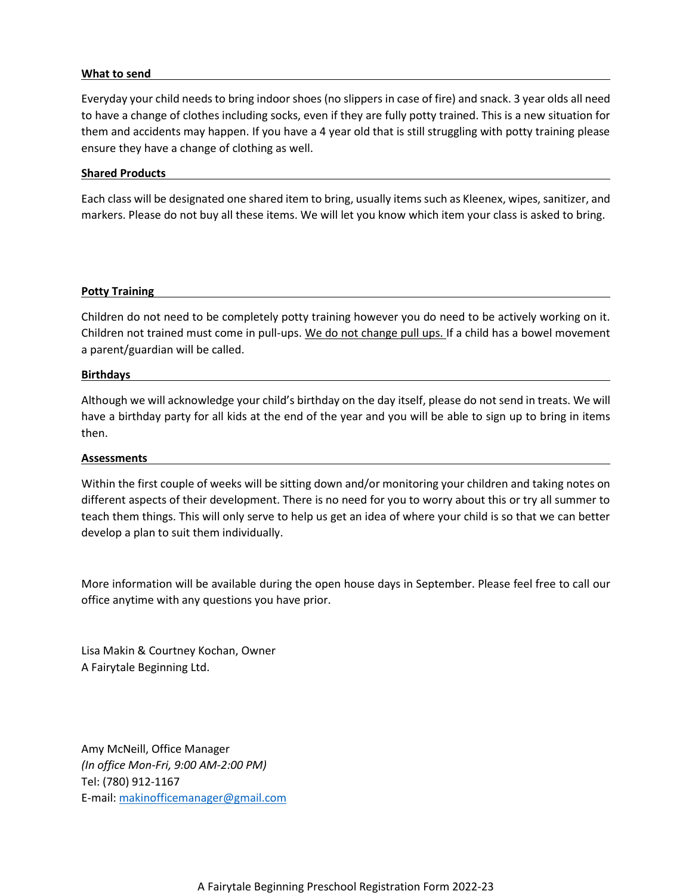#### **What to send**

Everyday your child needs to bring indoor shoes (no slippers in case of fire) and snack. 3 year olds all need to have a change of clothes including socks, even if they are fully potty trained. This is a new situation for them and accidents may happen. If you have a 4 year old that is still struggling with potty training please ensure they have a change of clothing as well.

### **Shared Products**

Each class will be designated one shared item to bring, usually items such as Kleenex, wipes, sanitizer, and markers. Please do not buy all these items. We will let you know which item your class is asked to bring.

### **Potty Training**

Children do not need to be completely potty training however you do need to be actively working on it. Children not trained must come in pull-ups. We do not change pull ups. If a child has a bowel movement a parent/guardian will be called.

#### **Birthdays**

Although we will acknowledge your child's birthday on the day itself, please do not send in treats. We will have a birthday party for all kids at the end of the year and you will be able to sign up to bring in items then.

#### **Assessments**

Within the first couple of weeks will be sitting down and/or monitoring your children and taking notes on different aspects of their development. There is no need for you to worry about this or try all summer to teach them things. This will only serve to help us get an idea of where your child is so that we can better develop a plan to suit them individually.

More information will be available during the open house days in September. Please feel free to call our office anytime with any questions you have prior.

Lisa Makin & Courtney Kochan, Owner A Fairytale Beginning Ltd.

Amy McNeill, Office Manager *(In office Mon-Fri, 9:00 AM-2:00 PM)* Tel: (780) 912-1167 E-mail: [makinofficemanager@gmail.com](mailto:makinofficemanager@gmail.com)